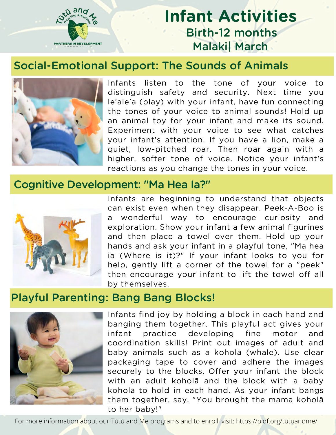

# **Infant Activities** Birth-12 months Malaki| March

#### Social-Emotional Support: The Sounds of Animals



Infants listen to the tone of your voice to distinguish safety and security. Next time you le'ale'a (play) with your infant, have fun connecting the tones of your voice to animal sounds! Hold up an animal toy for your infant and make its sound. Experiment with your voice to see what catches your infant's attention. If you have a lion, make a quiet, low-pitched roar. Then roar again with a higher, softer tone of voice. Notice your infant's reactions as you change the tones in your voice.

#### Cognitive Development: "Ma Hea Ia?"



Infants are beginning to understand that objects can exist even when they disappear. Peek-A-Boo is a wonderful way to encourage curiosity and exploration. Show your infant a few animal figurines and then place a towel over them. Hold up your hands and ask your infant in a playful tone, "Ma hea ia (Where is it)?" If your infant looks to you for help, gently lift a corner of the towel for a "peek" then encourage your infant to lift the towel off all by themselves.

## Playful Parenting: Bang Bang Blocks!



Infants find joy by holding a block in each hand and banging them together. This playful act gives your infant practice developing fine motor and coordination skills! Print out images of adult and baby animals such as a koholā (whale). Use clear packaging tape to cover and adhere the images securely to the blocks. Offer your infant the block with an adult koholā and the block with a baby koholā to hold in each hand. As your infant bangs them together, say, "You brought the mama koholā to her baby!"

For more information about our Tūtū and Me programs and to enroll, visit: https://pidf.org/tutuandme/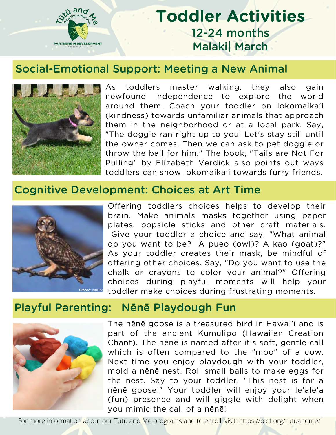

# **Toddler Activities** 12-24 months Malaki| March

#### Social-Emotional Support: Meeting a New Animal



As toddlers master walking, they also gain newfound independence to explore the world around them. Coach your toddler on lokomaika'i (kindness) towards unfamiliar animals that approach them in the neighborhood or at a local park. Say, "The doggie ran right up to you! Let's stay still until the owner comes. Then we can ask to pet doggie or throw the ball for him." The book, "Tails are Not For Pulling" by Elizabeth Verdick also points out ways toddlers can show lokomaika'i towards furry friends.

### Cognitive Development: Choices at Art Time



Offering toddlers choices helps to develop their brain. Make animals masks together using paper plates, popsicle sticks and other craft materials. Give your toddler a choice and say, "What animal do you want to be? A pueo (owl)? A kao (goat)?" As your toddler creates their mask, be mindful of offering other choices. Say, "Do you want to use the chalk or crayons to color your animal?" Offering choices during playful moments will help your toddler make choices during frustrating moments.

#### Playful Parenting: Nēnē Playdough Fun



The nēnē goose is a treasured bird in Hawai'i and is part of the ancient Kumulipo (Hawaiian Creation Chant). The nēnē is named after it's soft, gentle call which is often compared to the "moo" of a cow. Next time you enjoy playdough with your toddler, mold a nēnē nest. Roll small balls to make eggs for the nest. Say to your toddler, "This nest is for a nēnē goose!" Your toddler will enjoy your le'ale'a (fun) presence and will giggle with delight when you mimic the call of a nēnē!

For more information about our Tūtū and Me programs and to enroll, visit: https://pidf.org/tutuandme/